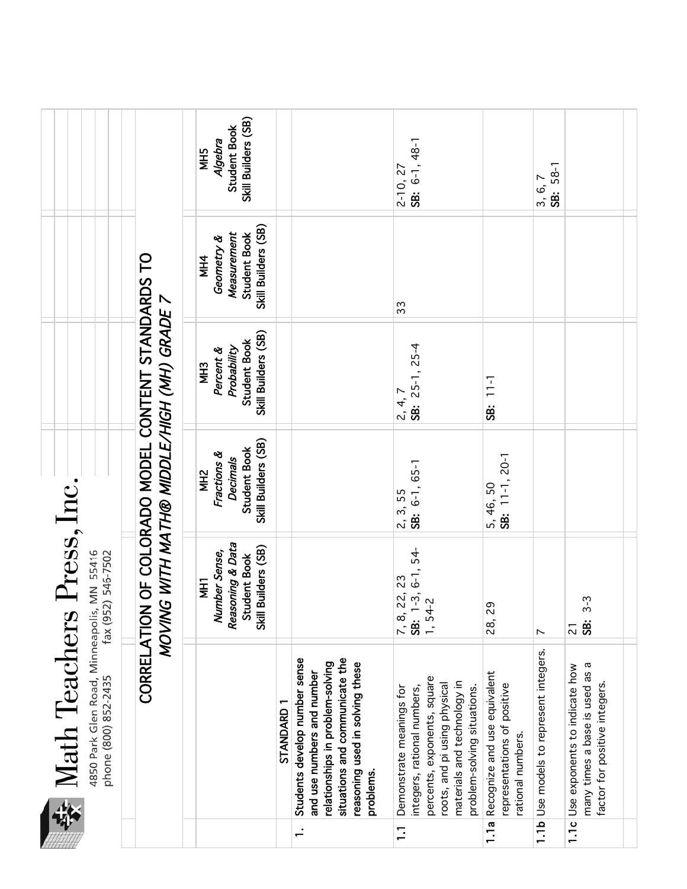|                | 4850 Park Glen Road, Minneapolis, MN 55416<br>phone (800) 852-2435   fax (952) 546-7502<br>Math Teachers                                                                          | Press, Inc.                                                                                      |                                                                                                  |                                                                                    |                                                                                |                                                              |
|----------------|-----------------------------------------------------------------------------------------------------------------------------------------------------------------------------------|--------------------------------------------------------------------------------------------------|--------------------------------------------------------------------------------------------------|------------------------------------------------------------------------------------|--------------------------------------------------------------------------------|--------------------------------------------------------------|
|                |                                                                                                                                                                                   |                                                                                                  | CORRELATION OF COLORADO MODEL CONTENT STANDARDS TO<br>MOVING WITH MATH® MIDDLE/HIGH (MH) GRADE 7 |                                                                                    |                                                                                |                                                              |
|                |                                                                                                                                                                                   | Reasoning & Data<br>Builders (SB)<br>Number Sense,<br>Student Book<br><b>THN</b><br><b>Skill</b> | Skill Builders (SB)<br>Student Book<br>Fractions &<br><b>Decimals</b><br>NH <sub>2</sub>         | Skill Builders (SB)<br>Student Book<br>Probability<br>Percent &<br>MH <sub>3</sub> | Skill Builders (SB)<br>Measurement<br>Student Book<br>Geometry &<br><b>MH4</b> | Skill Builders (SB)<br>Student Book<br>Algebra<br><b>SHN</b> |
|                | STANDARD 1                                                                                                                                                                        |                                                                                                  |                                                                                                  |                                                                                    |                                                                                |                                                              |
| $\div$         | situations and communicate the<br>Students develop number sense<br>relationships in problem-solving<br>reasoning used in solving these<br>and use numbers and number<br>problems. |                                                                                                  |                                                                                                  |                                                                                    |                                                                                |                                                              |
| $\overline{1}$ | Demonstrate meanings for                                                                                                                                                          | 7, 8, 22, 23                                                                                     | 2, 3, 55                                                                                         |                                                                                    | 33                                                                             | $2 - 10, 27$                                                 |
|                | percents, exponents, square<br>materials and technology in<br>roots, and pi using physical<br>integers, rational numbers,<br>problem-solving situations.                          | $1-3, 6-1, 54-$<br>$1, 54-2$<br><b>SB:</b>                                                       | SB: 6-1, 65-1                                                                                    | $25-1, 25-4$<br>$2, 4, 7$<br><b>38:</b> 25                                         |                                                                                | SB: 6-1, 48-1                                                |
|                | 1.1a Recognize and use equivalent<br>representations of positive<br>rational numbers.                                                                                             | 28,29                                                                                            | SB: 11-1, 20-1<br>5, 46, 50                                                                      | SB: 11-1                                                                           |                                                                                |                                                              |
|                | 1.1b Use models to represent integers.                                                                                                                                            | $\sim$                                                                                           |                                                                                                  |                                                                                    |                                                                                | SB: 58-1<br>3, 6, 7                                          |
|                | many times a base is used as a<br>1.1c Use exponents to indicate how<br>factor for positive integers                                                                              | $3-3$<br>\$<br>$\overline{2}$                                                                    |                                                                                                  |                                                                                    |                                                                                |                                                              |
|                |                                                                                                                                                                                   |                                                                                                  |                                                                                                  |                                                                                    |                                                                                |                                                              |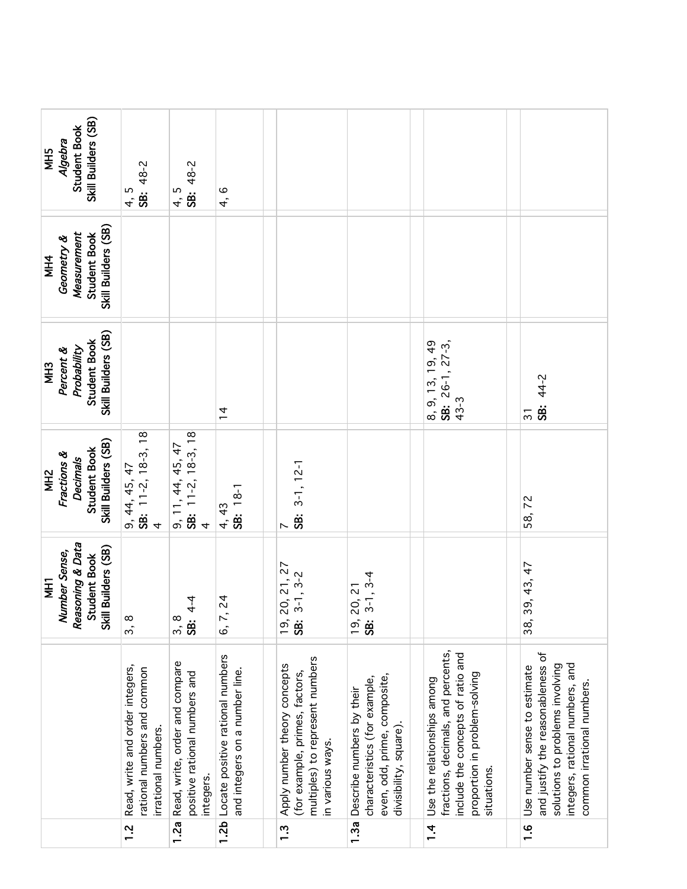| Skill Builders (SB)<br>Student Book<br>Algebra<br>NH5                                    | SB: 48-2<br>4, 5                                                                      | SB: 48-2<br>4, 5                                                             | 4, 6                                                               |                                                                                                                       |                                                                                                                      |                                                                                                                                                        |                                                                                                                                                                       |
|------------------------------------------------------------------------------------------|---------------------------------------------------------------------------------------|------------------------------------------------------------------------------|--------------------------------------------------------------------|-----------------------------------------------------------------------------------------------------------------------|----------------------------------------------------------------------------------------------------------------------|--------------------------------------------------------------------------------------------------------------------------------------------------------|-----------------------------------------------------------------------------------------------------------------------------------------------------------------------|
| Skill Builders (SB)<br>Measurement<br>Student Book<br>Geometry &<br><b>MH4</b>           |                                                                                       |                                                                              |                                                                    |                                                                                                                       |                                                                                                                      |                                                                                                                                                        |                                                                                                                                                                       |
| Skill Builders (SB)<br>Student Book<br>Probability<br>Percent &<br>MH <sub>3</sub>       |                                                                                       |                                                                              | $\frac{1}{4}$                                                      |                                                                                                                       |                                                                                                                      | 8, 9, 13, 19, 49<br>SB: $26-1$ , $27-3$ ,<br>$43 - 3$                                                                                                  | SB: 44-2<br>$\overline{3}$                                                                                                                                            |
| Skill Builders (SB)<br>Student Book<br>Fractions &<br><b>Decimals</b><br>MH <sub>2</sub> | 9, 44, 45, 47<br><b>SB:</b> 11-2, 18-3, 18<br>4                                       | 9, 11, 44, 45, 47<br><b>SB:</b> 11-2, 18-3, 18<br>4                          | SB: 18-1<br>4, 43                                                  | $3-1, 12-1$<br><b>SB.</b><br>$\sim$                                                                                   |                                                                                                                      |                                                                                                                                                        | 58,72                                                                                                                                                                 |
| Reasoning & Data<br>Skill Builders (SB)<br>Number Sense,<br>Student Book<br><b>THI</b>   | 3,8                                                                                   | $4 - 4$<br>್ಲ ಹೆ.<br><b>SB:</b>                                              | $\overline{2}$<br>6, 7,                                            | 20, 21, 27<br>$3-1, 3-2$<br><u>ှစ်</u>                                                                                | $3-1, 3-4$<br>20, 21<br><u>ຸດ</u><br>SB:                                                                             |                                                                                                                                                        | 39, 43, 47<br>38,                                                                                                                                                     |
|                                                                                          | Read, write and order integers,<br>rational numbers and common<br>irrational numbers. | Read, write, order and compare<br>positive rational numbers and<br>integers. | Locate positive rational numbers<br>and integers on a number line. | multiples) to represent numbers<br>Apply number theory concepts<br>(for example, primes, factors,<br>in various ways. | even, odd, prime, composite,<br>characteristics (for example,<br>Describe numbers by their<br>divisibility, square). | fractions, decimals, and percents,<br>include the concepts of ratio and<br>proportion in problem-solving<br>Use the relationships among<br>situations. | and justify the reasonableness of<br>integers, rational numbers, and<br>solutions to problems involving<br>Use number sense to estimate<br>common irrational numbers. |
|                                                                                          | 12                                                                                    | 1.2a                                                                         | 1.2 <sub>b</sub>                                                   | $\frac{3}{1}$                                                                                                         | 1.3a                                                                                                                 | $1\overline{4}$                                                                                                                                        | <u>ہ</u><br>–                                                                                                                                                         |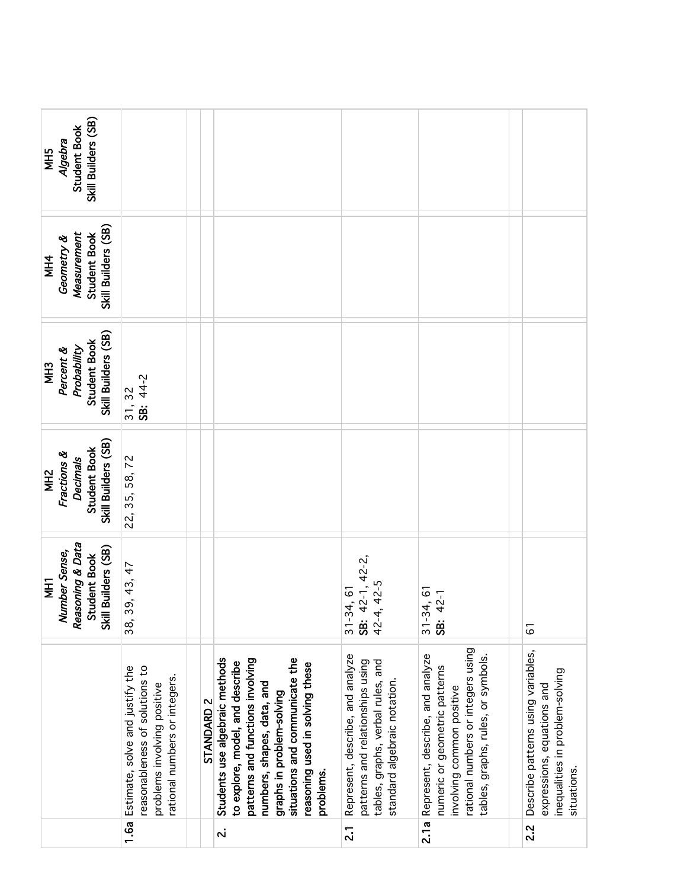|                                                                                          |                                                                                                                                        |                       | $\dot{\mathbf{v}}$                                                                                                                                                                                                                                 | $\overline{2}$                                                                                                                           | 2.1a                                                                                                                                                                       | 2.2                                                                                                                |
|------------------------------------------------------------------------------------------|----------------------------------------------------------------------------------------------------------------------------------------|-----------------------|----------------------------------------------------------------------------------------------------------------------------------------------------------------------------------------------------------------------------------------------------|------------------------------------------------------------------------------------------------------------------------------------------|----------------------------------------------------------------------------------------------------------------------------------------------------------------------------|--------------------------------------------------------------------------------------------------------------------|
|                                                                                          | 1.6a Estimate, solve and justify the<br>reasonableness of solutions to<br>rational numbers or integers.<br>problems involving positive | STANDARD <sub>2</sub> | Students use algebraic methods<br>situations and communicate the<br>patterns and functions involving<br>to explore, model, and describe<br>reasoning used in solving these<br>numbers, shapes, data, and<br>graphs in problem-solving<br>problems. | Represent, describe, and analyze<br>patterns and relationships using<br>tables, graphs, verbal rules, and<br>standard algebraic notation | rational numbers or integers using<br>Represent, describe, and analyze<br>tables, graphs, rules, or symbols.<br>numeric or geometric patterns<br>involving common positive | Describe patterns using variables,<br>inequalities in problem-solving<br>expressions, equations and<br>situations. |
| Number Sense,<br>Reasoning & Data<br>Skill Builders (SB)<br>Student Book<br><b>THI</b>   | 39, 43, 47<br>38,                                                                                                                      |                       |                                                                                                                                                                                                                                                    | $42-1, 42-2,$<br>42-4, 42-5<br>$31 - 34, 61$<br><b>SB:</b>                                                                               | $31 - 34, 61$<br>42-1<br><b>SB:</b>                                                                                                                                        | 61                                                                                                                 |
| Skill Builders (SB)<br>Student Book<br>Fractions &<br><b>Decimals</b><br>MH <sub>2</sub> | 22, 35, 58, 72                                                                                                                         |                       |                                                                                                                                                                                                                                                    |                                                                                                                                          |                                                                                                                                                                            |                                                                                                                    |
| Skill Builders (SB)<br>Student Book<br>Probability<br>Percent &<br><b>MH3</b>            | SB: 44-2<br>31, 32                                                                                                                     |                       |                                                                                                                                                                                                                                                    |                                                                                                                                          |                                                                                                                                                                            |                                                                                                                    |
| Skill Builders (SB)<br>Measurement<br>Student Book<br>Geometry &<br><b>NH4</b>           |                                                                                                                                        |                       |                                                                                                                                                                                                                                                    |                                                                                                                                          |                                                                                                                                                                            |                                                                                                                    |
| Skill Builders (SB)<br>Student Book<br>Algebra<br><b>SHM</b>                             |                                                                                                                                        |                       |                                                                                                                                                                                                                                                    |                                                                                                                                          |                                                                                                                                                                            |                                                                                                                    |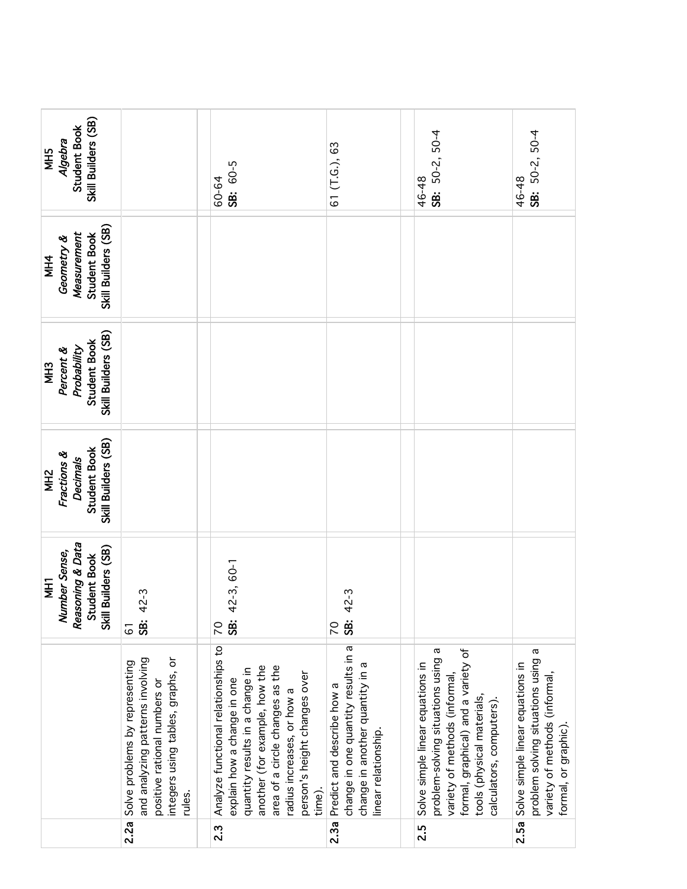| Skill Builders (SB)<br>Student Book<br>Algebra<br><b>NH5</b>                                    |                                                                                                                                                   | SB: 60-5<br>60-64                                                                                                                                                                                                                                 | (T.G.), 63<br>5                                                                                                             | SB: 50-2, 50-4<br>46-48                                                                                                                                                                                 | SB: 50-2, 50-4<br>46-48                                                                                                       |
|-------------------------------------------------------------------------------------------------|---------------------------------------------------------------------------------------------------------------------------------------------------|---------------------------------------------------------------------------------------------------------------------------------------------------------------------------------------------------------------------------------------------------|-----------------------------------------------------------------------------------------------------------------------------|---------------------------------------------------------------------------------------------------------------------------------------------------------------------------------------------------------|-------------------------------------------------------------------------------------------------------------------------------|
| Skill Builders (SB)<br>Measurement<br><b>Student Book</b><br>Geometry &<br><b>MH4</b>           |                                                                                                                                                   |                                                                                                                                                                                                                                                   |                                                                                                                             |                                                                                                                                                                                                         |                                                                                                                               |
| Skill Builders (SB)<br>Student Book<br>Percent &<br>Probability<br>MH <sub>3</sub>              |                                                                                                                                                   |                                                                                                                                                                                                                                                   |                                                                                                                             |                                                                                                                                                                                                         |                                                                                                                               |
| Skill Builders (SB)<br><b>Student Book</b><br>Fractions &<br><b>Decimals</b><br>MH <sub>2</sub> |                                                                                                                                                   |                                                                                                                                                                                                                                                   |                                                                                                                             |                                                                                                                                                                                                         |                                                                                                                               |
| Reasoning & Data<br>Skill Builders (SB)<br>Number Sense,<br>Student Book<br><b>THE</b>          | 42-3<br>ġ.<br>61                                                                                                                                  | 42-3, 60-1<br>ġ<br>20                                                                                                                                                                                                                             | 42-3<br>\$<br>$\overline{C}$                                                                                                |                                                                                                                                                                                                         |                                                                                                                               |
|                                                                                                 | integers using tables, graphs, or<br>and analyzing patterns involving<br>Solve problems by representing<br>positive rational numbers or<br>rules. | Analyze functional relationships to<br>another (for example, how the<br>area of a circle changes as the<br>quantity results in a change in<br>person's height changes over<br>explain how a change in one<br>radius increases, or how a<br>time). | change in one quantity results in a<br>change in another quantity in a<br>Predict and describe how a<br>linear relationship | problem-solving situations using a<br>formal, graphical) and a variety of<br>Solve simple linear equations in<br>variety of methods (informal,<br>tools (physical materials,<br>calculators, computers) | problem solving situations using a<br>Solve simple linear equations in<br>variety of methods (informal<br>formal, or graphic) |
|                                                                                                 | 2.2a                                                                                                                                              | $2.\overline{3}$                                                                                                                                                                                                                                  | 2.3a                                                                                                                        | 2.5                                                                                                                                                                                                     | 2.5a                                                                                                                          |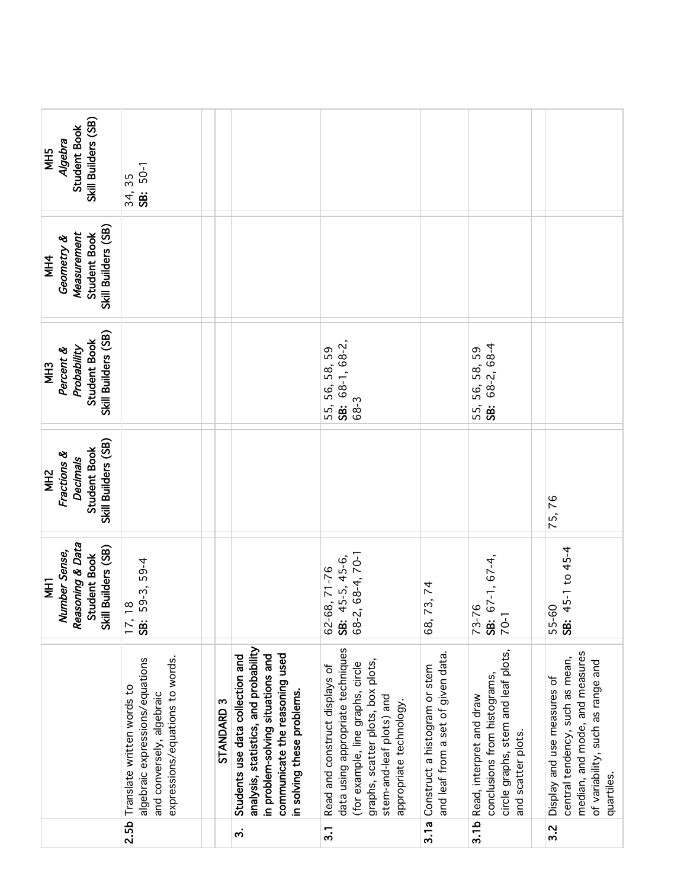| Skill Builders (SB)<br>Student Book<br>Algebra<br><b>SHIM</b>                            | SB: 50-1<br>34, 35                                                                                                            |                       |                                                                                                                                                                                |                                                                                                                                                                                                      |                                                                     |                                                                                                                       |                                                                                                                                                     |
|------------------------------------------------------------------------------------------|-------------------------------------------------------------------------------------------------------------------------------|-----------------------|--------------------------------------------------------------------------------------------------------------------------------------------------------------------------------|------------------------------------------------------------------------------------------------------------------------------------------------------------------------------------------------------|---------------------------------------------------------------------|-----------------------------------------------------------------------------------------------------------------------|-----------------------------------------------------------------------------------------------------------------------------------------------------|
| Skill Builders (SB)<br>Measurement<br>Student Book<br>Geometry &<br><b>NH4</b>           |                                                                                                                               |                       |                                                                                                                                                                                |                                                                                                                                                                                                      |                                                                     |                                                                                                                       |                                                                                                                                                     |
| Skill Builders (SB)<br>Student Book<br>Probability<br>Percent &<br><b>MH3</b>            |                                                                                                                               |                       |                                                                                                                                                                                | $SB: 68-1, 68-2,$<br>59<br>55, 56, 58,<br>68-3                                                                                                                                                       |                                                                     | 68-2, 68-4<br>56, 58, 59<br>55,<br><b>SB.</b>                                                                         |                                                                                                                                                     |
| Skill Builders (SB)<br>Student Book<br>Fractions &<br><b>Decimals</b><br>MH <sub>2</sub> |                                                                                                                               |                       |                                                                                                                                                                                |                                                                                                                                                                                                      |                                                                     |                                                                                                                       | 75,76                                                                                                                                               |
| Reasoning & Data<br>Skill Builders (SB)<br>Number Sense,<br>Student Book<br>Ī            | 59-3, 59-4<br>$\frac{8}{1}$<br>17,<br>\$                                                                                      |                       |                                                                                                                                                                                | 68-2, 68-4, 70-1<br>45-5, 45-6,<br>62-68, 71-76<br><b>SB:</b>                                                                                                                                        | 73,74<br>68,                                                        | $67-1, 67-4,$<br>73-76<br>$80 - 1$                                                                                    | 45-1 to 45-4<br>55-60<br><b>38:</b> 45                                                                                                              |
|                                                                                          | expressions/equations to words.<br>algebraic expressions/equations<br>Translate written words to<br>and conversely, algebraic | STANDARD <sub>3</sub> | analysis, statistics, and probability<br>communicate the reasoning used<br>Students use data collection and<br>in problem-solving situations and<br>in solving these problems. | data using appropriate techniques<br>graphs, scatter plots, box plots,<br>(for example, line graphs, circle<br>Read and construct displays of<br>stem-and-leaf plots) and<br>appropriate technology. | and leaf from a set of given data.<br>Construct a histogram or stem | circle graphs, stem and leaf plots,<br>conclusions from histograms,<br>Read, interpret and draw<br>and scatter plots. | median, and mode, and measures<br>central tendency, such as mean,<br>of variability, such as range and<br>Display and use measures of<br>quartiles. |
|                                                                                          | 2.5b                                                                                                                          |                       | က                                                                                                                                                                              | $\overline{3}$ .                                                                                                                                                                                     | 3.1a                                                                | 3.1 <sub>b</sub>                                                                                                      | 3.2                                                                                                                                                 |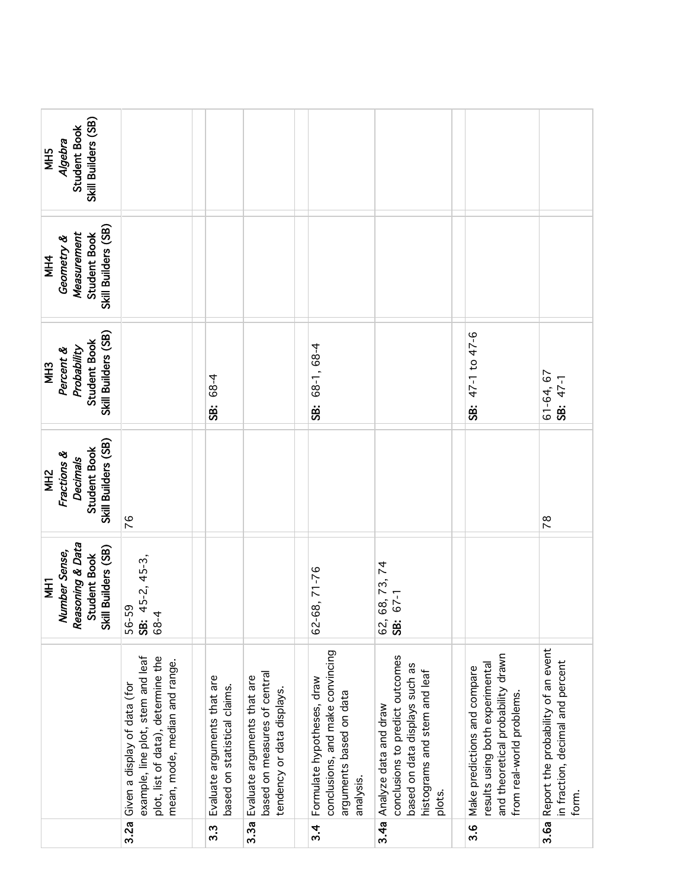|                                                                                               | example, line plot, stem and leaf<br>plot, list of data), determine the<br>mean, mode, median and range.<br>Given a display of data (for<br>3.2a | Evaluate arguments that are<br>based on statistical claims.<br>$3.\overline{3}$ | based on measures of central<br>Evaluate arguments that are<br>tendency or data displays<br>3.3a | conclusions, and make convincing<br>Formulate hypotheses, draw<br>arguments based on data<br>analysis.<br>34 | conclusions to predict outcomes<br>based on data displays such as<br>histograms and stem and leaf<br>Analyze data and draw<br>plots.<br>3.4a | and theoretical probability drawn<br>results using both experimental<br>Make predictions and compare<br>from real-world problems<br>ვ<br>ი | Report the probability of an event<br>in fraction, decimal and percent<br>form.<br>3.6a |
|-----------------------------------------------------------------------------------------------|--------------------------------------------------------------------------------------------------------------------------------------------------|---------------------------------------------------------------------------------|--------------------------------------------------------------------------------------------------|--------------------------------------------------------------------------------------------------------------|----------------------------------------------------------------------------------------------------------------------------------------------|--------------------------------------------------------------------------------------------------------------------------------------------|-----------------------------------------------------------------------------------------|
|                                                                                               |                                                                                                                                                  |                                                                                 |                                                                                                  |                                                                                                              |                                                                                                                                              |                                                                                                                                            |                                                                                         |
| Reasoning & Data<br>Skill Builders (SB)<br>Number Sense,<br><b>Student Book</b><br><b>THI</b> | 45-2, 45-3,<br>59<br>4<br>56-<br>ة<br>89<br><b>SB:</b>                                                                                           |                                                                                 |                                                                                                  | 68, 71-76<br>$62 -$                                                                                          | 68, 73, 74<br>67-1<br>$62$ $\ddot{\mathbf{g}}$                                                                                               |                                                                                                                                            |                                                                                         |
| Skill Builders (SB)<br>Student Book<br>Fractions &<br><b>Decimals</b><br>NH <sub>2</sub>      | 76                                                                                                                                               |                                                                                 |                                                                                                  |                                                                                                              |                                                                                                                                              |                                                                                                                                            | $\frac{8}{2}$                                                                           |
| Skill Builders (SB)<br>Student Book<br>Probability<br>Percent &<br><b>MH3</b>                 |                                                                                                                                                  | 68-4<br><b>SB.</b>                                                              |                                                                                                  | 68-1, 68-4<br><b>98</b>                                                                                      |                                                                                                                                              | SB: 47-1 to 47-6                                                                                                                           | 61-64, 67<br>SB: 47-1                                                                   |
| Skill Builders (SB)<br>Measurement<br>Student Book<br>Geometry &<br><b>NH4</b>                |                                                                                                                                                  |                                                                                 |                                                                                                  |                                                                                                              |                                                                                                                                              |                                                                                                                                            |                                                                                         |
| Skill Builders (SB)<br>Student Book<br>Algebra<br>NH5                                         |                                                                                                                                                  |                                                                                 |                                                                                                  |                                                                                                              |                                                                                                                                              |                                                                                                                                            |                                                                                         |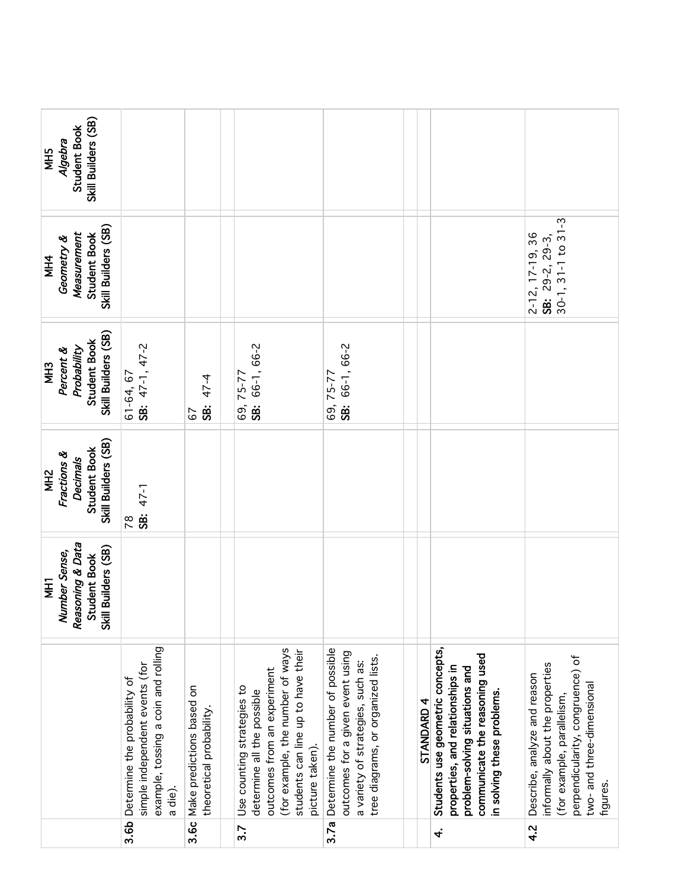| Skill Builders (SB)<br>Student Book<br>Algebra<br>MH5                                           |                                                                                                                  |                                                            |                                                                                                                                                                                      |                                                                                                                                                 |            |                                                                                                                                                                        |                                                                                                                                                                            |
|-------------------------------------------------------------------------------------------------|------------------------------------------------------------------------------------------------------------------|------------------------------------------------------------|--------------------------------------------------------------------------------------------------------------------------------------------------------------------------------------|-------------------------------------------------------------------------------------------------------------------------------------------------|------------|------------------------------------------------------------------------------------------------------------------------------------------------------------------------|----------------------------------------------------------------------------------------------------------------------------------------------------------------------------|
| Skill Builders (SB)<br>Measurement<br>Student Book<br>Geometry &<br><b>NH4</b>                  |                                                                                                                  |                                                            |                                                                                                                                                                                      |                                                                                                                                                 |            |                                                                                                                                                                        | $30-1, 31-1$ to $31-3$<br>$2-12$ , $17-19$ , 36<br>SB: 29-2, 29-3,                                                                                                         |
| Skill Builders (SB)<br><b>Student Book</b><br>Probability<br>Percent &<br><b>MH3</b>            | SB: 47-1, 47-2<br>61-64, 67                                                                                      | 47-4<br><b>SB:</b><br>57                                   | SB: 66-1, 66-2<br>69, 75-77                                                                                                                                                          | SB: 66-1, 66-2<br>69, 75-77                                                                                                                     |            |                                                                                                                                                                        |                                                                                                                                                                            |
| Skill Builders (SB)<br><b>Student Book</b><br>Fractions &<br><b>Decimals</b><br>MH <sub>2</sub> | SB: 47-1<br>$\frac{8}{2}$                                                                                        |                                                            |                                                                                                                                                                                      |                                                                                                                                                 |            |                                                                                                                                                                        |                                                                                                                                                                            |
| Reasoning & Data<br>Skill Builders (SB)<br>Number Sense,<br>Student Book<br><b>THI</b>          |                                                                                                                  |                                                            |                                                                                                                                                                                      |                                                                                                                                                 |            |                                                                                                                                                                        |                                                                                                                                                                            |
|                                                                                                 | example, tossing a coin and rolling<br>simple independent events (for<br>Determine the probability of<br>a die). | 3.6c Make predictions based on<br>theoretical probability. | (for example, the number of ways<br>students can line up to have their<br>outcomes from an experiment<br>Use counting strategies to<br>determine all the possible<br>picture taken). | Determine the number of possible<br>outcomes for a given event using<br>tree diagrams, or organized lists.<br>a variety of strategies, such as: | STANDARD 4 | Students use geometric concepts,<br>communicate the reasoning used<br>properties, and relationships in<br>problem-solving situations and<br>in solving these problems. | perpendicularity, congruence) of<br>informally about the properties<br>Describe, analyze and reason<br>two-and three-dimensional<br>(for example, parallelism,<br>figures. |
|                                                                                                 | 3.6b                                                                                                             |                                                            | 3.7                                                                                                                                                                                  | 3.7a                                                                                                                                            |            | $\dot{ }$                                                                                                                                                              | 4.2                                                                                                                                                                        |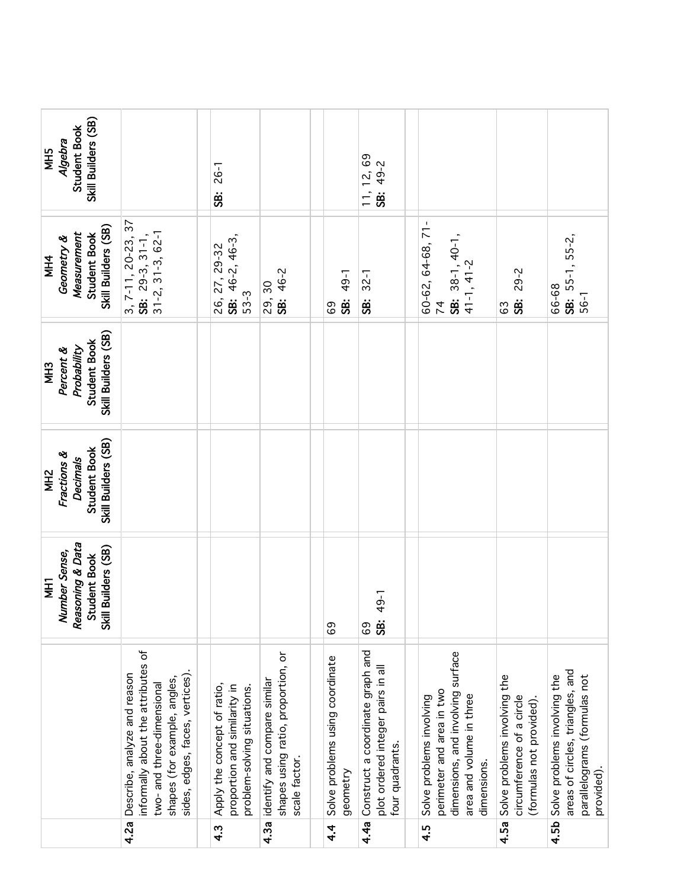|                                                                                          | 4.2a                                                                                                                                                              | $4.\overline{3}$                                                                           | 4.3a                                                                                | $4\overline{4}$                             | 4.4a                                                                                     | 4.5                                                                                                                                   | 4.5a                                                                                  | 4.5b                                                                                                           |
|------------------------------------------------------------------------------------------|-------------------------------------------------------------------------------------------------------------------------------------------------------------------|--------------------------------------------------------------------------------------------|-------------------------------------------------------------------------------------|---------------------------------------------|------------------------------------------------------------------------------------------|---------------------------------------------------------------------------------------------------------------------------------------|---------------------------------------------------------------------------------------|----------------------------------------------------------------------------------------------------------------|
|                                                                                          | informally about the attributes of<br>Describe, analyze and reason<br>sides, edges, faces, vertices)<br>shapes (for example, angles,<br>two-and three-dimensional | Apply the concept of ratio,<br>proportion and similarity in<br>problem-solving situations. | shapes using ratio, proportion, or<br>identify and compare similar<br>scale factor. | Solve problems using coordinate<br>geometry | Construct a coordinate graph and<br>plot ordered integer pairs in all<br>four quadrants. | dimensions, and involving surface<br>perimeter and area in two<br>area and volume in three<br>Solve problems involving<br>dimensions. | Solve problems involving the<br>circumference of a circle<br>(formulas not provided). | areas of circles, triangles, and<br>parallelograms (formulas not<br>Solve problems involving the<br>provided). |
| Reasoning & Data<br>Skill Builders (SB)<br>Number Sense,<br>Student Book<br><b>THI</b>   |                                                                                                                                                                   |                                                                                            |                                                                                     | 69                                          | 49-1<br><b>SB:</b><br>69                                                                 |                                                                                                                                       |                                                                                       |                                                                                                                |
| Skill Builders (SB)<br>Student Book<br>Fractions &<br><b>Decimals</b><br>MH <sub>2</sub> |                                                                                                                                                                   |                                                                                            |                                                                                     |                                             |                                                                                          |                                                                                                                                       |                                                                                       |                                                                                                                |
| Skill Builders (SB)<br>Student Book<br>Probability<br>Percent &<br><b>MH3</b>            |                                                                                                                                                                   |                                                                                            |                                                                                     |                                             |                                                                                          |                                                                                                                                       |                                                                                       |                                                                                                                |
| Skill Builders (SB)<br>Measurement<br>Student Book<br>Geometry &<br><b>MH4</b>           | $3, 7-11, 20-23, 37$<br>SB: 29-3, 31-1,<br>$31 - 2, 31 - 3, 62 - 1$                                                                                               | SB: $46-2, 46-3,$<br>26, 27, 29-32<br>$53-3$                                               | SB: 46-2<br>29,30                                                                   | 49-1<br><b>SB.</b><br>69                    | $32 - 1$<br>ġ                                                                            | 60-62, 64-68, 71-<br>SB: 38-1, 40-1,<br>$41 - 1, 41 - 2$<br>$\overline{7}$                                                            | 29-2<br><b>SB:</b><br>63                                                              | SB: 55-1, 55-2,<br>66-68<br>56-1                                                                               |
| Skill Builders (SB)<br>Student Book<br>Algebra<br><b>NH5</b>                             |                                                                                                                                                                   | <b>26-1</b><br><b>SB</b>                                                                   |                                                                                     |                                             | 11, 12, 69<br>SB: 49-2                                                                   |                                                                                                                                       |                                                                                       |                                                                                                                |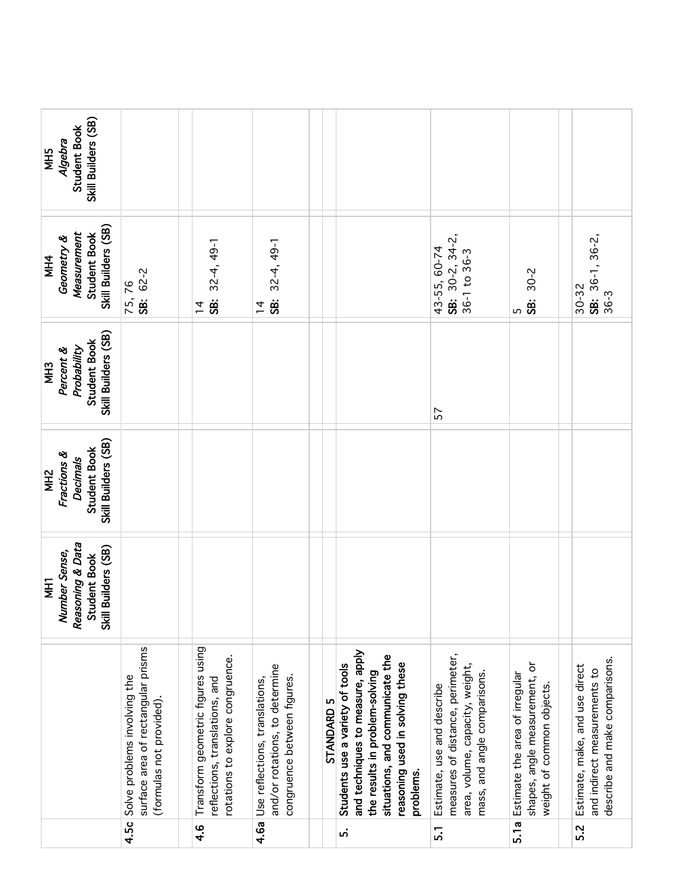| Skill Builders (SB)<br><b>Student Book</b><br>Algebra<br><b>NH5</b>                      |                                                                                               |                                                                                                         |                                                                                                 |            |                                                                                                                                                                                          |                                                                                                                                   |                                                                                              |                                                                                                  |
|------------------------------------------------------------------------------------------|-----------------------------------------------------------------------------------------------|---------------------------------------------------------------------------------------------------------|-------------------------------------------------------------------------------------------------|------------|------------------------------------------------------------------------------------------------------------------------------------------------------------------------------------------|-----------------------------------------------------------------------------------------------------------------------------------|----------------------------------------------------------------------------------------------|--------------------------------------------------------------------------------------------------|
| Skill Builders (SB)<br>Measurement<br><b>Student Book</b><br>Geometry &<br><b>MH4</b>    | SB: 62-2<br>75,76                                                                             | $32-4, 49-1$<br><b>SB:</b><br>$\frac{1}{4}$                                                             | $32-4, 49-1$<br>SB.<br>$\frac{4}{3}$                                                            |            |                                                                                                                                                                                          | SB: $30-2$ , $34-2$ ,<br>43-55, 60-74<br>$36-1$ to $36-3$                                                                         | $30 - 2$<br>SB:<br>5                                                                         | $36-1, 36-2,$<br>$30 - 32$<br>$36 - 3$<br>ġ.                                                     |
| Skill Builders (SB)<br>Student Book<br>Probability<br>Percent &<br>MH <sub>3</sub>       |                                                                                               |                                                                                                         |                                                                                                 |            |                                                                                                                                                                                          | 57                                                                                                                                |                                                                                              |                                                                                                  |
| Skill Builders (SB)<br>Student Book<br>Fractions &<br><b>Decimals</b><br>NH <sub>2</sub> |                                                                                               |                                                                                                         |                                                                                                 |            |                                                                                                                                                                                          |                                                                                                                                   |                                                                                              |                                                                                                  |
| Reasoning & Data<br>Skill Builders (SB)<br>Number Sense,<br>Student Book<br><b>THI</b>   |                                                                                               |                                                                                                         |                                                                                                 |            |                                                                                                                                                                                          |                                                                                                                                   |                                                                                              |                                                                                                  |
|                                                                                          | surface area of rectangular prisms<br>Solve problems involving the<br>(formulas not provided) | Transform geometric figures using<br>rotations to explore congruence.<br>reflections, translations, and | and/or rotations, to determine<br>congruence between figures.<br>Use reflections, translations, | STANDARD 5 | and techniques to measure, apply<br>situations, and communicate the<br>reasoning used in solving these<br>Students use a variety of tools<br>the results in problem-solving<br>problems. | measures of distance, perimeter,<br>area, volume, capacity, weight,<br>mass, and angle comparisons.<br>Estimate, use and describe | shapes, angle measurement, or<br>Estimate the area of irregular<br>weight of common objects. | describe and make comparisons.<br>Estimate, make, and use direct<br>and indirect measurements to |
|                                                                                          | 4.5c                                                                                          | $\frac{6}{4}$                                                                                           | 4.6a                                                                                            |            | ທ່                                                                                                                                                                                       | <u>.</u>                                                                                                                          | 5.1a                                                                                         | 5.2                                                                                              |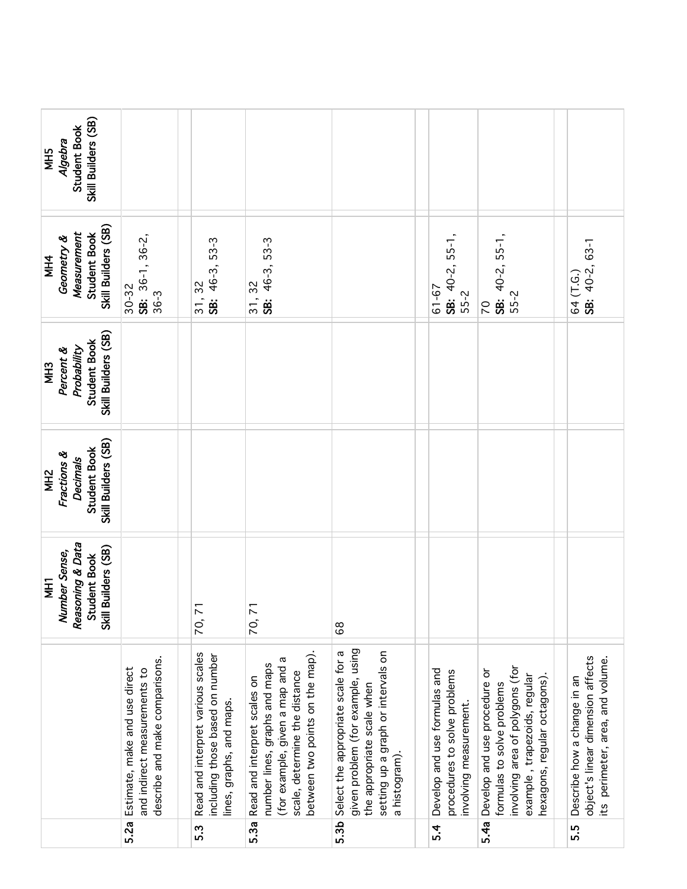| Skill Builders (SB)<br>Student Book<br>Algebra<br><b>NH5</b>                             |                                                                                                 |                                                                                                  |                                                                                                                                                                         |                                                                                                                                                             |                                                                                        |                                                                                                                                                              |                                                                                                      |
|------------------------------------------------------------------------------------------|-------------------------------------------------------------------------------------------------|--------------------------------------------------------------------------------------------------|-------------------------------------------------------------------------------------------------------------------------------------------------------------------------|-------------------------------------------------------------------------------------------------------------------------------------------------------------|----------------------------------------------------------------------------------------|--------------------------------------------------------------------------------------------------------------------------------------------------------------|------------------------------------------------------------------------------------------------------|
| Skill Builders (SB)<br>Measurement<br>Student Book<br>Geometry &<br><b>MH4</b>           | SB: 36-1, 36-2,<br>$30 - 32$<br>$36 - 3$                                                        | SB: 46-3, 53-3<br>31, 32                                                                         | SB: 46-3, 53-3<br>31, 32                                                                                                                                                |                                                                                                                                                             | SB: $40-2$ , $55-1$ ,<br>$61 - 67$<br>55-2                                             | SB: $40-2$ , $55-1$ ,<br>55-2<br>20                                                                                                                          | SB: 40-2, 63-1<br>64 (T.G.)                                                                          |
| Skill Builders (SB)<br><b>Student Book</b><br>Probability<br>Percent &<br><b>MH3</b>     |                                                                                                 |                                                                                                  |                                                                                                                                                                         |                                                                                                                                                             |                                                                                        |                                                                                                                                                              |                                                                                                      |
| Skill Builders (SB)<br>Student Book<br>Fractions &<br><b>Decimals</b><br>MH <sub>2</sub> |                                                                                                 |                                                                                                  |                                                                                                                                                                         |                                                                                                                                                             |                                                                                        |                                                                                                                                                              |                                                                                                      |
| Reasoning & Data<br>Skill Builders (SB)<br>Number Sense,<br>Student Book<br><b>THI</b>   |                                                                                                 | $\overline{7}$<br>70,                                                                            | $\overline{7}$<br>70,                                                                                                                                                   | $^{\circ}_{\circ}$                                                                                                                                          |                                                                                        |                                                                                                                                                              |                                                                                                      |
|                                                                                          | describe and make comparisons.<br>Estimate, make and use direct<br>and indirect measurements to | Read and interpret various scales<br>including those based on number<br>lines, graphs, and maps. | between two points on the map).<br>σ<br>number lines, graphs and maps<br>(for example, given a map and<br>scale, determine the distance<br>Read and interpret scales on | given problem (for example, using<br>Select the appropriate scale for a<br>setting up a graph or intervals on<br>the appropriate scale when<br>a histogram) | Develop and use formulas and<br>procedures to solve problems<br>involving measurement. | involving area of polygons (for<br>Develop and use procedure or<br>example, trapezoids, regular<br>hexagons, regular octagons)<br>formulas to solve problems | object's linear dimension affects<br>its perimeter, area, and volume.<br>Describe how a change in an |
|                                                                                          | 5.2a                                                                                            | 5.3                                                                                              | 5.3a                                                                                                                                                                    | 5.3b                                                                                                                                                        | $5-4$                                                                                  | 5.4a                                                                                                                                                         | 5.5                                                                                                  |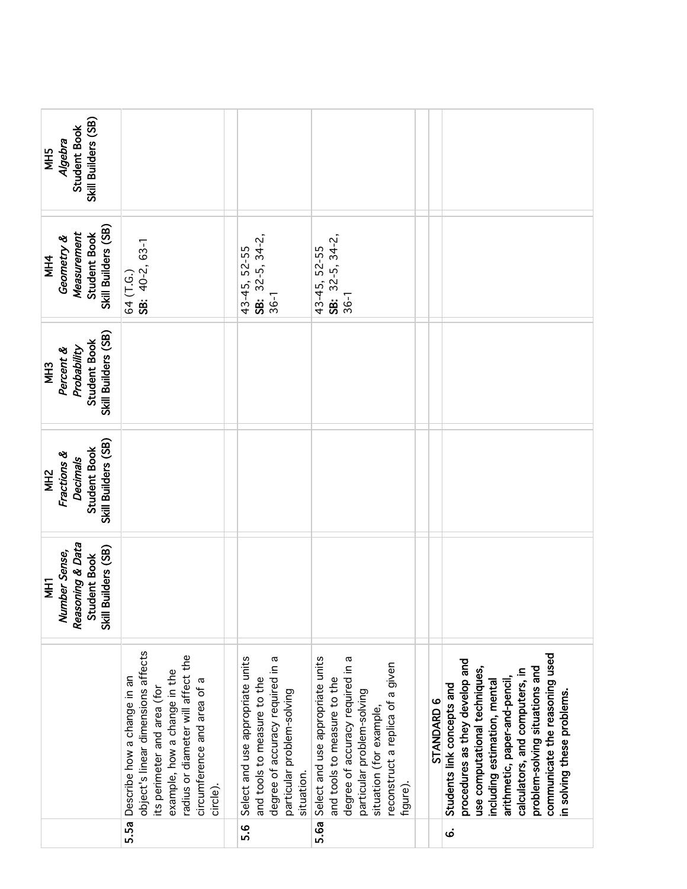| Skill Builders (SB)<br>Student Book<br>Algebra<br><b>SHM</b>                           |                                                                                                                                                                                                                        |                                                                                                                                                 |                                                                                                                                                                                                              |            |                                                                                                                                                                                                                                                                                                   |
|----------------------------------------------------------------------------------------|------------------------------------------------------------------------------------------------------------------------------------------------------------------------------------------------------------------------|-------------------------------------------------------------------------------------------------------------------------------------------------|--------------------------------------------------------------------------------------------------------------------------------------------------------------------------------------------------------------|------------|---------------------------------------------------------------------------------------------------------------------------------------------------------------------------------------------------------------------------------------------------------------------------------------------------|
| Skill Builders (SB)<br>Measurement<br>Student Book<br>Geometry &<br><b>MH4</b>         | SB: 40-2, 63-1<br>64 (T.G.)                                                                                                                                                                                            | SB: $32-5$ , $34-2$ ,<br>43-45, 52-55<br>$36 - 1$                                                                                               | SB: $32-5$ , $34-2$ ,<br>43-45, 52-55<br>36-1                                                                                                                                                                |            |                                                                                                                                                                                                                                                                                                   |
| Skill Builders (SB)<br>Student Book<br>Percent &<br>Probability<br>MH <sub>3</sub>     |                                                                                                                                                                                                                        |                                                                                                                                                 |                                                                                                                                                                                                              |            |                                                                                                                                                                                                                                                                                                   |
| Skill Builders (SB)<br>Student Book<br>Fractions &<br>Decimals<br>MH <sub>2</sub>      |                                                                                                                                                                                                                        |                                                                                                                                                 |                                                                                                                                                                                                              |            |                                                                                                                                                                                                                                                                                                   |
| Reasoning & Data<br>Skill Builders (SB)<br>Number Sense,<br>Student Book<br><b>THM</b> |                                                                                                                                                                                                                        |                                                                                                                                                 |                                                                                                                                                                                                              |            |                                                                                                                                                                                                                                                                                                   |
|                                                                                        | object's linear dimensions affects<br>radius or diameter will affect the<br>example, how a change in the<br>5.5a Describe how a change in an<br>circumference and area of a<br>its perimeter and area (for<br>circle). | Select and use appropriate units<br>degree of accuracy required in a<br>and tools to measure to the<br>particular problem-solving<br>situation. | Select and use appropriate units<br>degree of accuracy required in a<br>reconstruct a replica of a given<br>and tools to measure to the<br>particular problem-solving<br>situation (for example,<br>figure). | STANDARD 6 | communicate the reasoning used<br>procedures as they develop and<br>problem-solving situations and<br>use computational techniques,<br>calculators, and computers, in<br>arithmetic, paper-and-pencil<br>including estimation, mental<br>Students link concepts and<br>in solving these problems. |
|                                                                                        |                                                                                                                                                                                                                        | <u>ه.</u>                                                                                                                                       | 5.6a                                                                                                                                                                                                         |            | $\dot{\mathbf{o}}$                                                                                                                                                                                                                                                                                |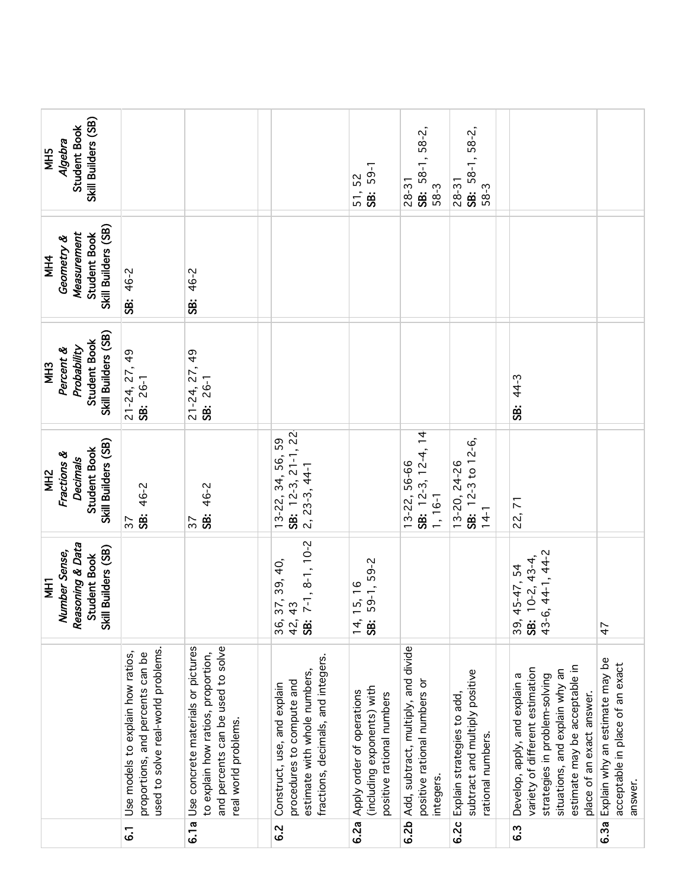| Skill Builders (SB)<br>Student Book<br>Algebra<br>NH5                                         |                                                                                                             |                                                                                                                                       |                                                                                                                                | SB: 59-1<br>51, 52                                                                   | SB: 58-1, 58-2,<br>$28 - 31$<br>58-3                                             | SB: 58-1, 58-2,<br>$28 - 31$<br>58-3                                              |                                                                                                                                                                                                   |                                                                              |
|-----------------------------------------------------------------------------------------------|-------------------------------------------------------------------------------------------------------------|---------------------------------------------------------------------------------------------------------------------------------------|--------------------------------------------------------------------------------------------------------------------------------|--------------------------------------------------------------------------------------|----------------------------------------------------------------------------------|-----------------------------------------------------------------------------------|---------------------------------------------------------------------------------------------------------------------------------------------------------------------------------------------------|------------------------------------------------------------------------------|
| Skill Builders (SB)<br>Measurement<br><b>Student Book</b><br>Geometry &<br><b>MH4</b>         | 46-2<br><b>SB:</b>                                                                                          | 46-2<br>ġ                                                                                                                             |                                                                                                                                |                                                                                      |                                                                                  |                                                                                   |                                                                                                                                                                                                   |                                                                              |
| Skill Builders (SB)<br>Student Book<br>Probability<br>Percent &<br><b>MH3</b>                 | $21 - 24, 27, 49$<br>SB: 26-1                                                                               | $\frac{6}{7}$<br>$21 - 24, 27,$<br>SB: 26-1                                                                                           |                                                                                                                                |                                                                                      |                                                                                  |                                                                                   | 44-3<br>ġ                                                                                                                                                                                         |                                                                              |
| Skill Builders (SB)<br>Student Book<br>Fractions &<br><b>Decimals</b><br>MH <sub>2</sub>      | SB: 46-2<br>$\overline{37}$                                                                                 | 46-2<br>SB:<br>57                                                                                                                     | SB: 12-3, 21-1, 22<br>13-22, 34, 56, 59<br>$2, 23-3, 44-1$                                                                     |                                                                                      | न<br>न<br>SB: $12-3, 12-4,$<br>13-22, 56-66<br>1, 16-1                           | SB: 12-3 to 12-6,<br>13-20, 24-26<br>$14 - 1$                                     | 22,71                                                                                                                                                                                             |                                                                              |
| Reasoning & Data<br>Skill Builders (SB)<br>Number Sense,<br><b>Student Book</b><br><b>THI</b> |                                                                                                             |                                                                                                                                       | $7-1, 8-1, 10-2$<br>37, 39, 40,<br>$\frac{3}{4}$<br>42,<br>36,<br>$\ddot{\text{ss}}$                                           | 59-1, 59-2<br>15, 16<br>14,<br><b>SB:</b>                                            |                                                                                  |                                                                                   | 43-6, 44-1, 44-2<br>$10-2, 43-4,$<br>45-47, 54<br>39,<br>SB:                                                                                                                                      | 47                                                                           |
|                                                                                               | used to solve real-world problems.<br>Use models to explain how ratios,<br>proportions, and percents can be | Use concrete materials or pictures<br>and percents can be used to solve<br>to explain how ratios, proportion,<br>real world problems. | fractions, decimals, and integers.<br>estimate with whole numbers,<br>procedures to compute and<br>Construct, use, and explain | (including exponents) with<br>Apply order of operations<br>positive rational numbers | Add, subtract, multiply, and divide<br>positive rational numbers or<br>integers. | subtract and multiply positive<br>Explain strategies to add,<br>rational numbers. | estimate may be acceptable in<br>variety of different estimation<br>situations, and explain why an<br>Develop, apply, and explain a<br>strategies in problem-solving<br>place of an exact answer. | Explain why an estimate may be<br>acceptable in place of an exact<br>answer. |
|                                                                                               | $\overline{6}$                                                                                              | 6.1a                                                                                                                                  | 6.2                                                                                                                            | 6.2a                                                                                 | 6.2 <sub>b</sub>                                                                 | 6.2c                                                                              | 6.3                                                                                                                                                                                               | 6.3a                                                                         |